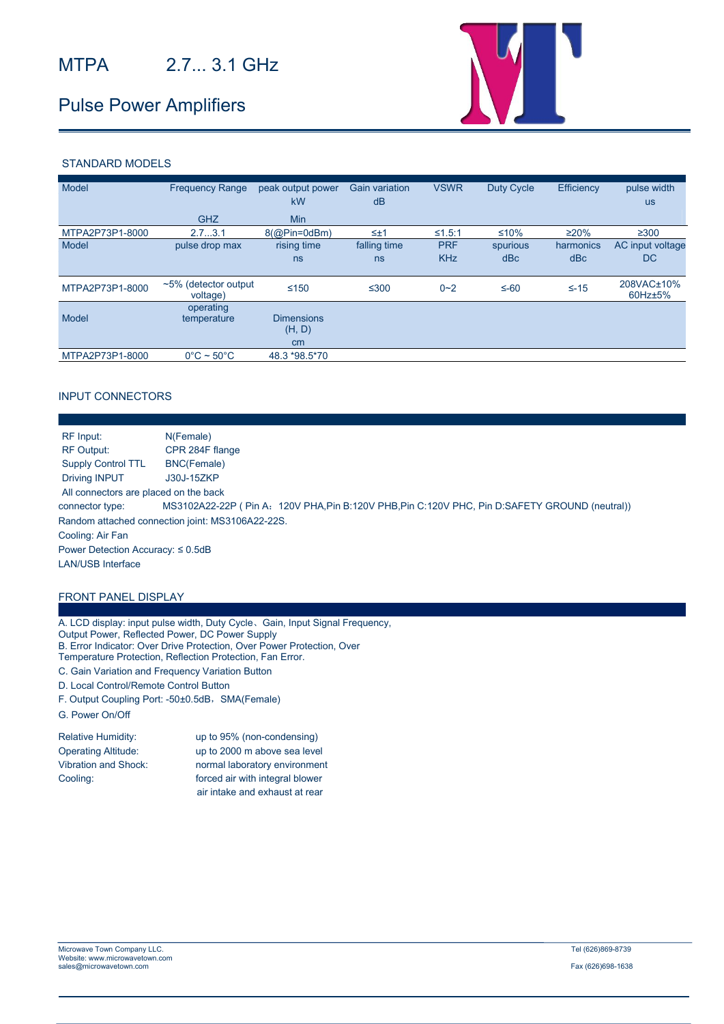## Pulse Power Amplifiers



#### STANDARD MODELS

| Model           | <b>Frequency Range</b>              | peak output power<br><b>kW</b>    | Gain variation<br>dB | <b>VSWR</b>              | Duty Cycle      | Efficiency       | pulse width<br><b>us</b> |
|-----------------|-------------------------------------|-----------------------------------|----------------------|--------------------------|-----------------|------------------|--------------------------|
|                 | <b>GHZ</b>                          | <b>Min</b>                        |                      |                          |                 |                  |                          |
| MTPA2P73P1-8000 | 2.73.1                              | $8$ (@Pin=0dBm)                   | $\leq \pm 1$         | ≤1.5:1                   | $≤10%$          | $\geq$ 20%       | $\geq 300$               |
| Model           | pulse drop max                      | rising time<br>ns                 | falling time<br>ns   | <b>PRF</b><br><b>KHz</b> | spurious<br>dBc | harmonics<br>dBc | AC input voltage<br>DC.  |
| MTPA2P73P1-8000 | $~5\%$ (detector output<br>voltage) | $≤150$                            | $≤300$               | $0 - 2$                  | $\leq -60$      | $\leq -15$       | 208VAC±10%<br>60Hz±5%    |
| Model           | operating<br>temperature            | <b>Dimensions</b><br>(H, D)<br>cm |                      |                          |                 |                  |                          |
| MTPA2P73P1-8000 | $0^{\circ}$ C ~ 50 $^{\circ}$ C     | 48.3 *98.5 * 70                   |                      |                          |                 |                  |                          |

#### INPUT CONNECTORS

| RF Input:                               | N(Female)                                                                                      |  |  |  |
|-----------------------------------------|------------------------------------------------------------------------------------------------|--|--|--|
| <b>RF Output:</b>                       | CPR 284F flange                                                                                |  |  |  |
| <b>Supply Control TTL</b>               | BNC(Female)                                                                                    |  |  |  |
| <b>Driving INPUT</b>                    | J30J-15ZKP                                                                                     |  |  |  |
| All connectors are placed on the back   |                                                                                                |  |  |  |
| connector type:                         | MS3102A22-22P (Pin A: 120V PHA, Pin B:120V PHB, Pin C:120V PHC, Pin D:SAFETY GROUND (neutral)) |  |  |  |
|                                         | Random attached connection joint: MS3106A22-22S.                                               |  |  |  |
| Cooling: Air Fan                        |                                                                                                |  |  |  |
| Power Detection Accuracy: $\leq 0.5$ dB |                                                                                                |  |  |  |
| <b>LAN/USB Interface</b>                |                                                                                                |  |  |  |
|                                         |                                                                                                |  |  |  |
|                                         |                                                                                                |  |  |  |

### FRONT PANEL DISPLAY

A. LCD display: input pulse width, Duty Cycle、Gain, Input Signal Frequency, Output Power, Reflected Power, DC Power Supply B. Error Indicator: Over Drive Protection, Over Power Protection, Over Temperature Protection, Reflection Protection, Fan Error.

C. Gain Variation and Frequency Variation Button

- D. Local Control/Remote Control Button
- F. Output Coupling Port: -50±0.5dB, SMA(Female)
- G. Power On/Off

| Relative Humidity:         | up to 95% (non-condensing)      |  |  |  |
|----------------------------|---------------------------------|--|--|--|
| <b>Operating Altitude:</b> | up to 2000 m above sea level    |  |  |  |
| Vibration and Shock:       | normal laboratory environment   |  |  |  |
| Cooling:                   | forced air with integral blower |  |  |  |
|                            | air intake and exhaust at rear  |  |  |  |